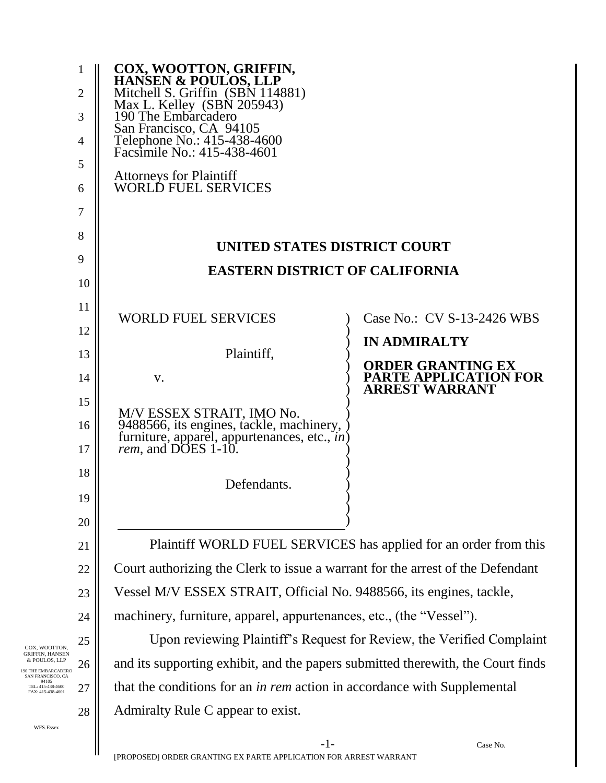|                                                                                                                                      | 1<br>$\overline{2}$<br>3<br>$\overline{4}$<br>5<br>6<br>7                            | <b>COX, WOOTTON, GRIFFIN,<br/>HANSEN &amp; POULOS, LLP</b><br>Mitchell S. Griffin (SBN 114881)<br>Max L. Kelley (SBN 205943)<br>190 The Embarcadero<br>San Francisco, CA 94105<br>Telephone No.: 415-438-4600<br>Facsimile No.: 415-438-4601<br><b>Attorneys for Plaintiff<br/>WORLD FUEL SERVICES</b> |                                                                            |  |
|--------------------------------------------------------------------------------------------------------------------------------------|--------------------------------------------------------------------------------------|--------------------------------------------------------------------------------------------------------------------------------------------------------------------------------------------------------------------------------------------------------------------------------------------------------|----------------------------------------------------------------------------|--|
| 8                                                                                                                                    |                                                                                      | UNITED STATES DISTRICT COURT                                                                                                                                                                                                                                                                           |                                                                            |  |
|                                                                                                                                      | 9<br><b>EASTERN DISTRICT OF CALIFORNIA</b>                                           |                                                                                                                                                                                                                                                                                                        |                                                                            |  |
|                                                                                                                                      | 10                                                                                   |                                                                                                                                                                                                                                                                                                        |                                                                            |  |
|                                                                                                                                      | 11                                                                                   | <b>WORLD FUEL SERVICES</b>                                                                                                                                                                                                                                                                             | Case No.: CV S-13-2426 WBS                                                 |  |
|                                                                                                                                      | 12                                                                                   |                                                                                                                                                                                                                                                                                                        | <b>IN ADMIRALTY</b>                                                        |  |
|                                                                                                                                      | 13<br>14                                                                             | Plaintiff,<br>V.                                                                                                                                                                                                                                                                                       | <b>ORDER GRANTING EX</b><br>PARTE APPLICATION FOR<br><b>ARREST WARRANT</b> |  |
|                                                                                                                                      | 15                                                                                   |                                                                                                                                                                                                                                                                                                        |                                                                            |  |
|                                                                                                                                      | 16<br>17                                                                             | M/V ESSEX STRAIT, IMO No.<br>9488566, its engines, tackle, machinery, )<br>furniture, apparel, appurtenances, etc., <i>in</i> )<br><i>rem</i> , and DOES 1-10.                                                                                                                                         |                                                                            |  |
|                                                                                                                                      | 18                                                                                   |                                                                                                                                                                                                                                                                                                        |                                                                            |  |
|                                                                                                                                      | 19                                                                                   | Defendants.                                                                                                                                                                                                                                                                                            |                                                                            |  |
|                                                                                                                                      | 20                                                                                   |                                                                                                                                                                                                                                                                                                        |                                                                            |  |
|                                                                                                                                      | 21                                                                                   | Plaintiff WORLD FUEL SERVICES has applied for an order from this                                                                                                                                                                                                                                       |                                                                            |  |
|                                                                                                                                      | Court authorizing the Clerk to issue a warrant for the arrest of the Defendant<br>22 |                                                                                                                                                                                                                                                                                                        |                                                                            |  |
|                                                                                                                                      | 23                                                                                   | Vessel M/V ESSEX STRAIT, Official No. 9488566, its engines, tackle,                                                                                                                                                                                                                                    |                                                                            |  |
|                                                                                                                                      | 24                                                                                   | machinery, furniture, apparel, appurtenances, etc., (the "Vessel").                                                                                                                                                                                                                                    |                                                                            |  |
| COX, WOOTTON,                                                                                                                        | 25                                                                                   | Upon reviewing Plaintiff's Request for Review, the Verified Complaint                                                                                                                                                                                                                                  |                                                                            |  |
| GRIFFIN, HANSEN<br>& POULOS, LLP<br><b>O THE EMBARCADERO</b><br>SAN FRANCISCO, CA<br>94105<br>TEL: 415-438-4600<br>FAX: 415-438-4601 | 26                                                                                   | and its supporting exhibit, and the papers submitted therewith, the Court finds                                                                                                                                                                                                                        |                                                                            |  |
|                                                                                                                                      | 27                                                                                   | that the conditions for an <i>in rem</i> action in accordance with Supplemental                                                                                                                                                                                                                        |                                                                            |  |
| WFS.Essex                                                                                                                            | 28                                                                                   | Admiralty Rule C appear to exist.                                                                                                                                                                                                                                                                      |                                                                            |  |
|                                                                                                                                      |                                                                                      |                                                                                                                                                                                                                                                                                                        |                                                                            |  |